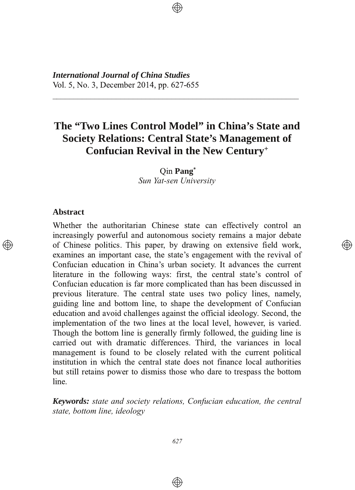**International Journal of China Studies** Vol. 5, No. 3, December 2014, pp. 627-655

# The "Two Lines Control Model" in China's State and **Society Relations: Central State's Management of Confucian Revival in the New Century+**

Oin Pang\* Sun Yat-sen University

#### **Abstract**

 $\circledcirc$ 

Whether the authoritarian Chinese state can effectively control an increasingly powerful and autonomous society remains a major debate of Chinese politics. This paper, by drawing on extensive field work, examines an important case, the state's engagement with the revival of Confucian education in China's urban society. It advances the current literature in the following ways: first, the central state's control of Confucian education is far more complicated than has been discussed in previous literature. The central state uses two policy lines, namely, guiding line and bottom line, to shape the development of Confucian education and avoid challenges against the official ideology. Second, the implementation of the two lines at the local level, however, is varied. Though the bottom line is generally firmly followed, the guiding line is carried out with dramatic differences. Third, the variances in local management is found to be closely related with the current political institution in which the central state does not finance local authorities but still retains power to dismiss those who dare to trespass the bottom line.

</u>

Keywords: state and society relations, Confucian education, the central state, bottom line, ideology

 $\circledast$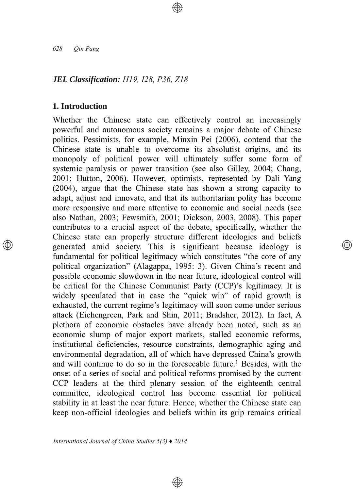628 Oin Pang

#### **JEL Classification: H19, I28, P36, Z18**

### 1. Introduction

Whether the Chinese state can effectively control an increasingly powerful and autonomous society remains a major debate of Chinese politics. Pessimists, for example, Minxin Pei (2006), contend that the Chinese state is unable to overcome its absolutist origins, and its monopoly of political power will ultimately suffer some form of systemic paralysis or power transition (see also Gilley, 2004; Chang, 2001; Hutton, 2006). However, optimists, represented by Dali Yang (2004), argue that the Chinese state has shown a strong capacity to adapt, adjust and innovate, and that its authoritarian polity has become more responsive and more attentive to economic and social needs (see also Nathan, 2003; Fewsmith, 2001; Dickson, 2003, 2008). This paper contributes to a crucial aspect of the debate, specifically, whether the Chinese state can properly structure different ideologies and beliefs generated amid society. This is significant because ideology is fundamental for political legitimacy which constitutes "the core of any political organization" (Alagappa, 1995: 3). Given China's recent and possible economic slowdown in the near future, ideological control will be critical for the Chinese Communist Party (CCP)'s legitimacy. It is widely speculated that in case the "quick win" of rapid growth is exhausted, the current regime's legitimacy will soon come under serious attack (Eichengreen, Park and Shin, 2011; Bradsher, 2012). In fact, A plethora of economic obstacles have already been noted, such as an economic slump of major export markets, stalled economic reforms, institutional deficiencies, resource constraints, demographic aging and environmental degradation, all of which have depressed China's growth and will continue to do so in the foreseeable future.<sup>1</sup> Besides, with the onset of a series of social and political reforms promised by the current CCP leaders at the third plenary session of the eighteenth central committee, ideological control has become essential for political stability in at least the near future. Hence, whether the Chinese state can keep non-official ideologies and beliefs within its grip remains critical

 $\circledast$ 

্⊕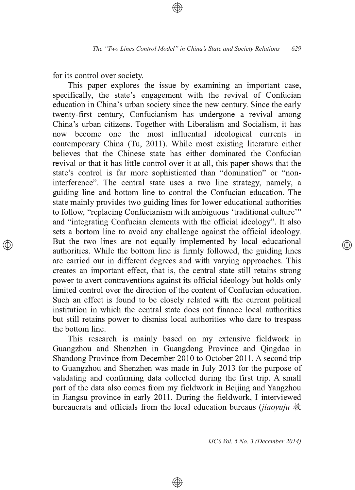for its control over society.

This paper explores the issue by examining an important case, specifically, the state's engagement with the revival of Confucian education in China's urban society since the new century. Since the early twenty-first century, Confucianism has undergone a revival among China's urban citizens. Together with Liberalism and Socialism, it has now become one the most influential ideological currents in contemporary China (Tu, 2011). While most existing literature either believes that the Chinese state has either dominated the Confucian revival or that it has little control over it at all, this paper shows that the state's control is far more sophisticated than "domination" or "noninterference". The central state uses a two line strategy, namely, a guiding line and bottom line to control the Confucian education. The state mainly provides two guiding lines for lower educational authorities to follow, "replacing Confucianism with ambiguous 'traditional culture'" and "integrating Confucian elements with the official ideology". It also sets a bottom line to avoid any challenge against the official ideology. But the two lines are not equally implemented by local educational authorities. While the bottom line is firmly followed, the guiding lines are carried out in different degrees and with varying approaches. This creates an important effect, that is, the central state still retains strong power to avert contraventions against its official ideology but holds only limited control over the direction of the content of Confucian education. Such an effect is found to be closely related with the current political institution in which the central state does not finance local authorities but still retains power to dismiss local authorities who dare to trespass the bottom line.

This research is mainly based on my extensive fieldwork in Guangzhou and Shenzhen in Guangdong Province and Qingdao in Shandong Province from December 2010 to October 2011. A second trip to Guangzhou and Shenzhen was made in July 2013 for the purpose of validating and confirming data collected during the first trip. A small part of the data also comes from my fieldwork in Beijing and Yangzhou in Jiangsu province in early 2011. During the fieldwork, I interviewed bureaucrats and officials from the local education bureaus (jiaovuju 教

⊕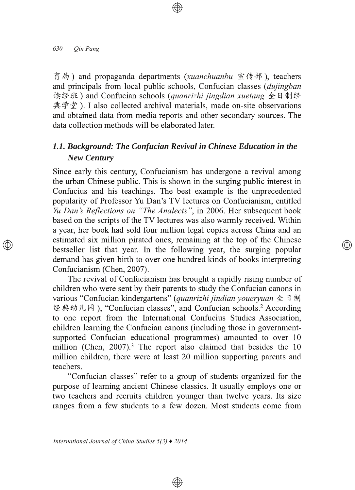育局) and propaganda departments (xuanchuanbu 宣传部), teachers and principals from local public schools. Confucian classes *(dujingban*) 读经班) and Confucian schools (quanrizhi jingdian xuetang 全日制经 典学堂). I also collected archival materials, made on-site observations and obtained data from media reports and other secondary sources. The data collection methods will be elaborated later.

# 1.1. Background: The Confucian Revival in Chinese Education in the **New Century**

Since early this century, Confucianism has undergone a revival among the urban Chinese public. This is shown in the surging public interest in Confucius and his teachings. The best example is the unprecedented popularity of Professor Yu Dan's TV lectures on Confucianism, entitled Yu Dan's Reflections on "The Analects", in 2006. Her subsequent book based on the scripts of the TV lectures was also warmly received. Within a year, her book had sold four million legal copies across China and an estimated six million pirated ones, remaining at the top of the Chinese bestseller list that year. In the following year, the surging popular demand has given birth to over one hundred kinds of books interpreting Confucianism (Chen, 2007).

্⊕

The revival of Confucianism has brought a rapidly rising number of children who were sent by their parents to study the Confucian canons in various "Confucian kindergartens" (quanrizhi jindian vouervuan 全日制 经典幼儿园), "Confucian classes", and Confucian schools.<sup>2</sup> According to one report from the International Confucius Studies Association, children learning the Confucian canons (including those in governmentsupported Confucian educational programmes) amounted to over 10 million (Chen,  $2007$ ).<sup>3</sup> The report also claimed that besides the 10 million children, there were at least 20 million supporting parents and teachers.

"Confucian classes" refer to a group of students organized for the purpose of learning ancient Chinese classics. It usually employs one or two teachers and recruits children younger than twelve years. Its size ranges from a few students to a few dozen. Most students come from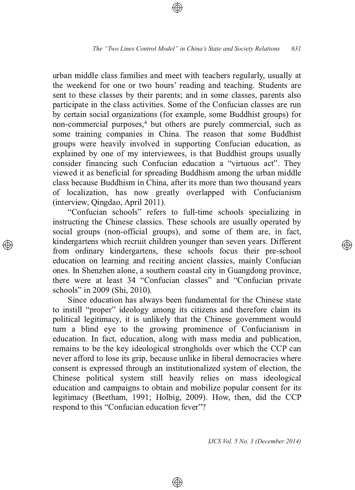urban middle class families and meet with teachers regularly, usually at the weekend for one or two hours' reading and teaching. Students are sent to these classes by their parents; and in some classes, parents also participate in the class activities. Some of the Confucian classes are run by certain social organizations (for example, some Buddhist groups) for non-commercial purposes,<sup>4</sup> but others are purely commercial, such as some training companies in China. The reason that some Buddhist groups were heavily involved in supporting Confucian education, as explained by one of my interviewees, is that Buddhist groups usually consider financing such Confucian education a "virtuous act". They viewed it as beneficial for spreading Buddhism among the urban middle class because Buddhism in China, after its more than two thousand years of localization, has now greatly overlapped with Confucianism (interview, Qingdao, April 2011).

"Confucian schools" refers to full-time schools specializing in instructing the Chinese classics. These schools are usually operated by social groups (non-official groups), and some of them are, in fact, kindergartens which recruit children younger than seven years. Different from ordinary kindergartens, these schools focus their pre-school education on learning and reciting ancient classics, mainly Confucian ones. In Shenzhen alone, a southern coastal city in Guangdong province, there were at least 34 "Confucian classes" and "Confucian private schools" in 2009 (Shi, 2010).

Since education has always been fundamental for the Chinese state to instill "proper" ideology among its citizens and therefore claim its political legitimacy, it is unlikely that the Chinese government would turn a blind eye to the growing prominence of Confucianism in education. In fact, education, along with mass media and publication, remains to be the key ideological strongholds over which the CCP can never afford to lose its grip, because unlike in liberal democracies where consent is expressed through an institutionalized system of election, the Chinese political system still heavily relies on mass ideological education and campaigns to obtain and mobilize popular consent for its legitimacy (Beetham, 1991; Holbig, 2009). How, then, did the CCP respond to this "Confucian education fever"?

⊕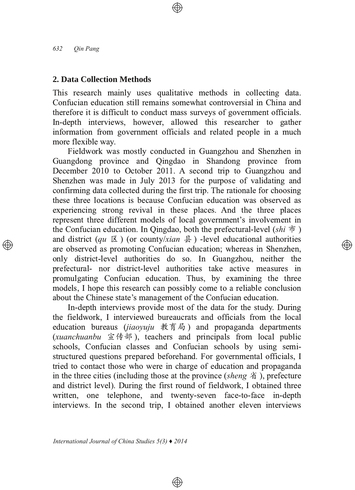#### 2. Data Collection Methods

This research mainly uses qualitative methods in collecting data. Confucian education still remains somewhat controversial in China and therefore it is difficult to conduct mass surveys of government officials. In-depth interviews, however, allowed this researcher to gather information from government officials and related people in a much more flexible way.

Fieldwork was mostly conducted in Guangzhou and Shenzhen in Guangdong province and Qingdao in Shandong province from December 2010 to October 2011. A second trip to Guangzhou and Shenzhen was made in July 2013 for the purpose of validating and confirming data collected during the first trip. The rationale for choosing these three locations is because Confucian education was observed as experiencing strong revival in these places. And the three places represent three different models of local government's involvement in the Confucian education. In Qingdao, both the prefectural-level (shi  $\dot{\pi}$ ) and district (qu  $\boxtimes$  ) (or county/xian  $\oplus$  ) -level educational authorities are observed as promoting Confucian education; whereas in Shenzhen, only district-level authorities do so. In Guangzhou, neither the prefectural- nor district-level authorities take active measures in promulgating Confucian education. Thus, by examining the three models. I hope this research can possibly come to a reliable conclusion about the Chinese state's management of the Confucian education.

In-depth interviews provide most of the data for the study. During the fieldwork, I interviewed bureaucrats and officials from the local education bureaus (jiaoyuju 教育局) and propaganda departments (xuanchuanbu 宣传部), teachers and principals from local public schools. Confucian classes and Confucian schools by using semistructured questions prepared beforehand. For governmental officials, I tried to contact those who were in charge of education and propaganda in the three cities (including those at the province (sheng  $\hat{A}$ ), prefecture and district level). During the first round of fieldwork, I obtained three written, one telephone, and twenty-seven face-to-face in-depth interviews. In the second trip, I obtained another eleven interviews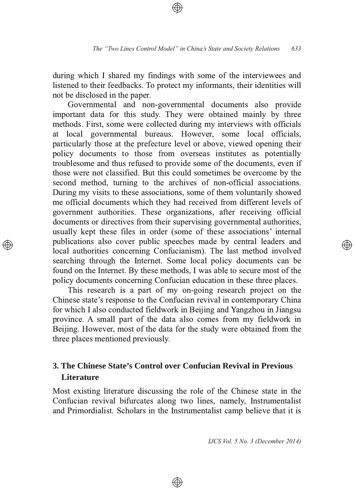during which I shared my findings with some of the interviewees and listened to their feedbacks. To protect my informants, their identities will not be disclosed in the paper.

Governmental and non-governmental documents also provide important data for this study. They were obtained mainly by three methods. First, some were collected during my interviews with officials at local governmental bureaus. However, some local officials, particularly those at the prefecture level or above, viewed opening their policy documents to those from overseas institutes as potentially troublesome and thus refused to provide some of the documents, even if those were not classified. But this could sometimes be overcome by the second method, turning to the archives of non-official associations. During my visits to these associations, some of them voluntarily showed me official documents which they had received from different levels of government authorities. These organizations, after receiving official documents or directives from their supervising governmental authorities, usually kept these files in order (some of these associations' internal publications also cover public speeches made by central leaders and local authorities concerning Confucianism). The last method involved searching through the Internet. Some local policy documents can be found on the Internet. By these methods, I was able to secure most of the policy documents concerning Confucian education in these three places.

This research is a part of my on-going research project on the Chinese state's response to the Confucian revival in contemporary China for which I also conducted fieldwork in Beijing and Yangzhou in Jiangsu province. A small part of the data also comes from my fieldwork in Beijing. However, most of the data for the study were obtained from the three places mentioned previously.

# 3. The Chinese State's Control over Confucian Revival in Previous **Literature**

Most existing literature discussing the role of the Chinese state in the Confucian revival bifurcates along two lines, namely, Instrumentalist and Primordialist. Scholars in the Instrumentalist camp believe that it is

⊕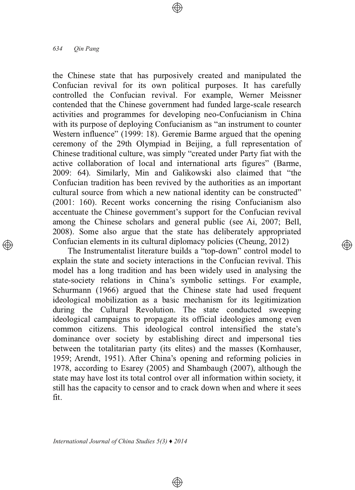#### 634 Oin Pang

the Chinese state that has purposively created and manipulated the Confucian revival for its own political purposes. It has carefully controlled the Confucian revival. For example, Werner Meissner contended that the Chinese government had funded large-scale research activities and programmes for developing neo-Confucianism in China with its purpose of deploying Confucianism as "an instrument to counter Western influence" (1999: 18). Geremie Barme argued that the opening ceremony of the 29th Olympiad in Beijing, a full representation of Chinese traditional culture, was simply "created under Party fiat with the active collaboration of local and international arts figures" (Barme, 2009: 64). Similarly, Min and Galikowski also claimed that "the Confucian tradition has been revived by the authorities as an important cultural source from which a new national identity can be constructed"  $(2001: 160)$ . Recent works concerning the rising Confucianism also accentuate the Chinese government's support for the Confucian revival among the Chinese scholars and general public (see Ai, 2007; Bell, 2008). Some also argue that the state has deliberately appropriated Confucian elements in its cultural diplomacy policies (Cheung, 2012)

The Instrumentalist literature builds a "top-down" control model to explain the state and society interactions in the Confucian revival. This model has a long tradition and has been widely used in analysing the state-society relations in China's symbolic settings. For example, Schurmann (1966) argued that the Chinese state had used frequent ideological mobilization as a basic mechanism for its legitimization during the Cultural Revolution. The state conducted sweeping ideological campaigns to propagate its official ideologies among even common citizens. This ideological control intensified the state's dominance over society by establishing direct and impersonal ties between the totalitarian party (its elites) and the masses (Kornhauser, 1959; Arendt, 1951). After China's opening and reforming policies in 1978, according to Esarey (2005) and Shambaugh (2007), although the state may have lost its total control over all information within society, it still has the capacity to censor and to crack down when and where it sees fit.

 $\circledast$ 

্⊕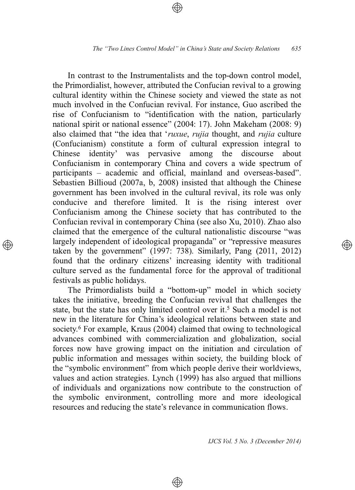In contrast to the Instrumentalists and the top-down control model, the Primordialist, however, attributed the Confucian revival to a growing cultural identity within the Chinese society and viewed the state as not much involved in the Confucian revival. For instance, Guo ascribed the rise of Confucianism to "identification with the nation, particularly national spirit or national essence" (2004: 17). John Makeham (2008: 9) also claimed that "the idea that 'ruxue, rujia thought, and rujia culture (Confucianism) constitute a form of cultural expression integral to identity' was pervasive among the discourse Chinese about Confucianism in contemporary China and covers a wide spectrum of participants – academic and official, mainland and overseas-based". Sebastien Billioud (2007a, b, 2008) insisted that although the Chinese government has been involved in the cultural revival, its role was only conducive and therefore limited. It is the rising interest over Confucianism among the Chinese society that has contributed to the Confucian revival in contemporary China (see also Xu, 2010). Zhao also claimed that the emergence of the cultural nationalistic discourse "was largely independent of ideological propaganda" or "repressive measures taken by the government"  $(1997: 738)$ . Similarly, Pang  $(2011, 2012)$ found that the ordinary citizens' increasing identity with traditional culture served as the fundamental force for the approval of traditional festivals as public holidays.

The Primordialists build a "bottom-up" model in which society takes the initiative, breeding the Confucian revival that challenges the state, but the state has only limited control over it.<sup>5</sup> Such a model is not new in the literature for China's ideological relations between state and society.<sup>6</sup> For example, Kraus (2004) claimed that owing to technological advances combined with commercialization and globalization, social forces now have growing impact on the initiation and circulation of public information and messages within society, the building block of the "symbolic environment" from which people derive their worldviews. values and action strategies. Lynch (1999) has also argued that millions of individuals and organizations now contribute to the construction of the symbolic environment, controlling more and more ideological resources and reducing the state's relevance in communication flows.

⊕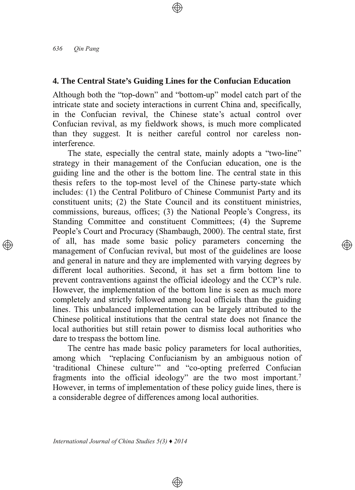### 4. The Central State's Guiding Lines for the Confucian Education

Although both the "top-down" and "bottom-up" model catch part of the intricate state and society interactions in current China and, specifically, in the Confucian revival, the Chinese state's actual control over Confucian revival, as my fieldwork shows, is much more complicated than they suggest. It is neither careful control nor careless noninterference

The state, especially the central state, mainly adopts a "two-line" strategy in their management of the Confucian education, one is the guiding line and the other is the bottom line. The central state in this thesis refers to the top-most level of the Chinese party-state which includes: (1) the Central Politburo of Chinese Communist Party and its constituent units; (2) the State Council and its constituent ministries, commissions, bureaus, offices; (3) the National People's Congress, its Standing Committee and constituent Committees; (4) the Supreme People's Court and Procuracy (Shambaugh, 2000). The central state, first of all, has made some basic policy parameters concerning the management of Confucian revival, but most of the guidelines are loose and general in nature and they are implemented with varying degrees by different local authorities. Second, it has set a firm bottom line to prevent contraventions against the official ideology and the CCP's rule. However, the implementation of the bottom line is seen as much more completely and strictly followed among local officials than the guiding lines. This unbalanced implementation can be largely attributed to the Chinese political institutions that the central state does not finance the local authorities but still retain power to dismiss local authorities who dare to trespass the bottom line.

The centre has made basic policy parameters for local authorities, among which "replacing Confucianism by an ambiguous notion of 'traditional Chinese culture'" and "co-opting preferred Confucian fragments into the official ideology" are the two most important.<sup>7</sup> However, in terms of implementation of these policy guide lines, there is a considerable degree of differences among local authorities.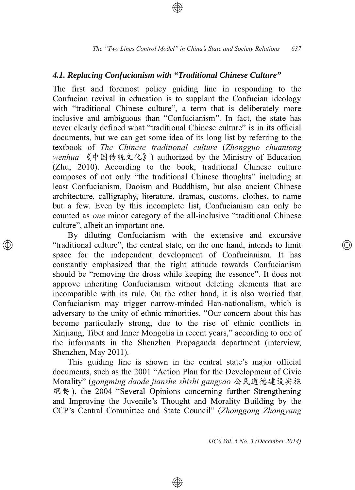### 4.1. Replacing Confucianism with "Traditional Chinese Culture"

The first and foremost policy guiding line in responding to the Confucian revival in education is to supplant the Confucian ideology with "traditional Chinese culture", a term that is deliberately more inclusive and ambiguous than "Confucianism". In fact, the state has never clearly defined what "traditional Chinese culture" is in its official documents, but we can get some idea of its long list by referring to the textbook of The Chinese traditional culture (Zhongguo chuantong wenhua 《中国传统文化》) authorized by the Ministry of Education (Zhu, 2010). According to the book, traditional Chinese culture composes of not only "the traditional Chinese thoughts" including at least Confucianism, Daoism and Buddhism, but also ancient Chinese architecture, calligraphy, literature, dramas, customs, clothes, to name but a few. Even by this incomplete list, Confucianism can only be counted as *one* minor category of the all-inclusive "traditional Chinese" culture", albeit an important one.

By diluting Confucianism with the extensive and excursive "traditional culture", the central state, on the one hand, intends to limit space for the independent development of Confucianism. It has constantly emphasized that the right attitude towards Confucianism should be "removing the dross while keeping the essence". It does not approve inheriting Confucianism without deleting elements that are incompatible with its rule. On the other hand, it is also worried that Confucianism may trigger narrow-minded Han-nationalism, which is adversary to the unity of ethnic minorities. "Our concern about this has become particularly strong, due to the rise of ethnic conflicts in Xinjiang, Tibet and Inner Mongolia in recent years," according to one of the informants in the Shenzhen Propaganda department (interview, Shenzhen, May 2011).

This guiding line is shown in the central state's major official documents, such as the 2001 "Action Plan for the Development of Civic Morality" (gongming daode jianshe shishi gangyao 公民道德建设实施 纲要), the 2004 "Several Opinions concerning further Strengthening and Improving the Juvenile's Thought and Morality Building by the CCP's Central Committee and State Council" (Zhonggong Zhongyang

⊕

IJCS Vol. 5 No. 3 (December 2014)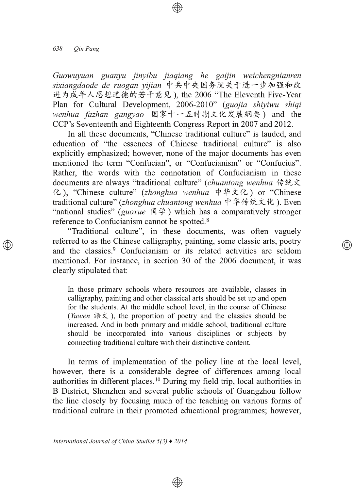#### 638 Oin Pang

Guowuyuan guanyu jinyibu jiaqiang he gaijin weichengnianren sixiangdaode de ruogan vijian 中共中央国务院关于进一步加强和改 进为成年人思想道德的若干意见), the 2006 "The Eleventh Five-Year Plan for Cultural Development, 2006-2010" (guojia shiyiwu shiqi wenhua fazhan gangyao 国家十一五时期文化发展纲要) and the CCP's Seventeenth and Eighteenth Congress Report in 2007 and 2012.

In all these documents, "Chinese traditional culture" is lauded, and education of "the essences of Chinese traditional culture" is also explicitly emphasized; however, none of the major documents has even mentioned the term "Confucian", or "Confucianism" or "Confucius". Rather, the words with the connotation of Confucianism in these documents are always "traditional culture" (chuantong wenhua 传统文 化), "Chinese culture" (zhonghua wenhua 中华文化) or "Chinese traditional culture" (zhonghua chuantong wenhua 中华传统文化). Even "national studies" (guoxue 国学) which has a comparatively stronger reference to Confucianism cannot be spotted.<sup>8</sup>

"Traditional culture", in these documents, was often vaguely referred to as the Chinese calligraphy, painting, some classic arts, poetry and the classics.<sup>9</sup> Confucianism or its related activities are seldom mentioned. For instance, in section 30 of the 2006 document, it was clearly stipulated that:

In those primary schools where resources are available, classes in calligraphy, painting and other classical arts should be set up and open for the students. At the middle school level, in the course of Chinese (*Yuwen* 語文), the proportion of poetry and the classics should be increased. And in both primary and middle school, traditional culture should be incorporated into various disciplines or subjects by connecting traditional culture with their distinctive content.

In terms of implementation of the policy line at the local level, however, there is a considerable degree of differences among local authorities in different places.<sup>10</sup> During my field trip, local authorities in B District, Shenzhen and several public schools of Guangzhou follow the line closely by focusing much of the teaching on various forms of traditional culture in their promoted educational programmes; however,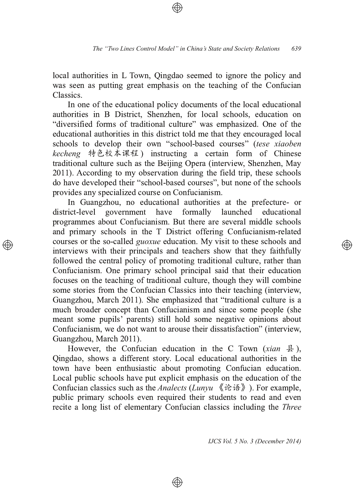local authorities in L Town, Qingdao seemed to ignore the policy and was seen as putting great emphasis on the teaching of the Confucian **Classics** 

In one of the educational policy documents of the local educational authorities in B District, Shenzhen, for local schools, education on "diversified forms of traditional culture" was emphasized. One of the educational authorities in this district told me that they encouraged local schools to develop their own "school-based courses" (tese xiaoben kecheng 特色校本课程) instructing a certain form of Chinese traditional culture such as the Beijing Opera (interview, Shenzhen, May 2011). According to my observation during the field trip, these schools do have developed their "school-based courses", but none of the schools provides any specialized course on Confucianism.

In Guangzhou, no educational authorities at the prefecture- or district-level government have formally launched educational programmes about Confucianism. But there are several middle schools and primary schools in the T District offering Confucianism-related courses or the so-called *guoxue* education. My visit to these schools and interviews with their principals and teachers show that they faithfully followed the central policy of promoting traditional culture, rather than Confucianism. One primary school principal said that their education focuses on the teaching of traditional culture, though they will combine some stories from the Confucian Classics into their teaching (interview, Guangzhou, March 2011). She emphasized that "traditional culture is a much broader concept than Confucianism and since some people (she meant some pupils' parents) still hold some negative opinions about Confucianism, we do not want to arouse their dissatisfaction" (interview, Guangzhou, March 2011).

However, the Confucian education in the C Town (xian  $\frac{1}{2}$ ), Qingdao, shows a different story. Local educational authorities in the town have been enthusiastic about promoting Confucian education. Local public schools have put explicit emphasis on the education of the Confucian classics such as the *Analects (Lunyu*  $\langle \hat{i} \hat{\epsilon} \hat{\epsilon} \rangle$ ). For example, public primary schools even required their students to read and even recite a long list of elementary Confucian classics including the *Three* 

⊕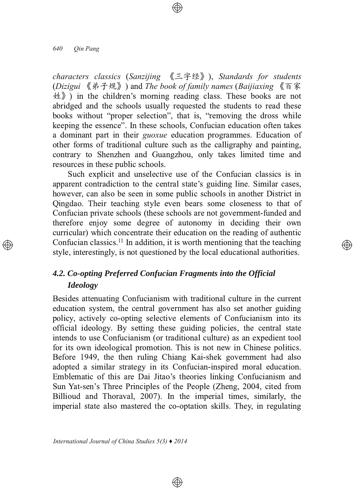characters classics (Sanzijing  $\langle \exists \hat{\Xi} \hat{\Xi} \rangle$ ), Standards for students (Dizigui 《弟子规》) and The book of family names (Baijiaxing 《百家  $\langle \nmid \psi \rangle$ ) in the children's morning reading class. These books are not abridged and the schools usually requested the students to read these books without "proper selection", that is, "removing the dross while keeping the essence". In these schools, Confucian education often takes a dominant part in their *guoxue* education programmes. Education of other forms of traditional culture such as the calligraphy and painting, contrary to Shenzhen and Guangzhou, only takes limited time and resources in these public schools.

Such explicit and unselective use of the Confucian classics is in apparent contradiction to the central state's guiding line. Similar cases, however, can also be seen in some public schools in another District in Qingdao. Their teaching style even bears some closeness to that of Confucian private schools (these schools are not government-funded and therefore enjoy some degree of autonomy in deciding their own curricular) which concentrate their education on the reading of authentic Confucian classics.<sup>11</sup> In addition, it is worth mentioning that the teaching style, interestingly, is not questioned by the local educational authorities.

</u>

# 4.2. Co-opting Preferred Confucian Fragments into the Official **Ideology**

Besides attenuating Confucianism with traditional culture in the current education system, the central government has also set another guiding policy, actively co-opting selective elements of Confucianism into its official ideology. By setting these guiding policies, the central state intends to use Confucianism (or traditional culture) as an expedient tool for its own ideological promotion. This is not new in Chinese politics. Before 1949, the then ruling Chiang Kai-shek government had also adopted a similar strategy in its Confucian-inspired moral education. Emblematic of this are Dai Jitao's theories linking Confucianism and Sun Yat-sen's Three Principles of the People (Zheng, 2004, cited from Billioud and Thoraval, 2007). In the imperial times, similarly, the imperial state also mastered the co-optation skills. They, in regulating

 $\circledast$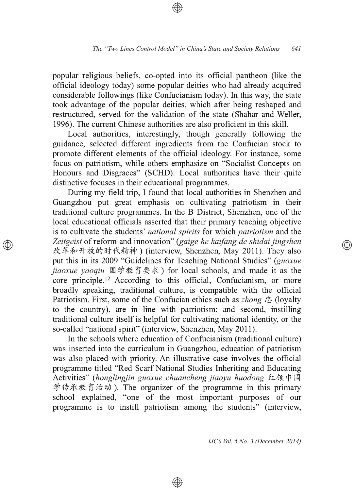popular religious beliefs, co-opted into its official pantheon (like the official ideology today) some popular deities who had already acquired considerable followings (like Confucianism today). In this way, the state took advantage of the popular deities, which after being reshaped and restructured, served for the validation of the state (Shahar and Weller, 1996). The current Chinese authorities are also proficient in this skill.

Local authorities, interestingly, though generally following the guidance, selected different ingredients from the Confucian stock to promote different elements of the official ideology. For instance, some focus on patriotism, while others emphasize on "Socialist Concepts on Honours and Disgraces" (SCHD). Local authorities have their quite distinctive focuses in their educational programmes.

During my field trip, I found that local authorities in Shenzhen and Guangzhou put great emphasis on cultivating patriotism in their traditional culture programmes. In the B District, Shenzhen, one of the local educational officials asserted that their primary teaching objective is to cultivate the students' national spirits for which patriotism and the Zeitgeist of reform and innovation" (gaige he kaifang de shidai jingshen 改革和开放的时代精神) (interview, Shenzhen, May 2011). They also put this in its 2009 "Guidelines for Teaching National Studies" (guoxue jiaoxue yaoqiu 国学教育要求) for local schools, and made it as the core principle.<sup>12</sup> According to this official, Confucianism, or more broadly speaking, traditional culture, is compatible with the official Patriotism. First, some of the Confucian ethics such as *zhong* 忠 (loyalty to the country), are in line with patriotism; and second, instilling traditional culture itself is helpful for cultivating national identity, or the so-called "national spirit" (interview, Shenzhen, May 2011).

In the schools where education of Confucianism (traditional culture) was inserted into the curriculum in Guangzhou, education of patriotism was also placed with priority. An illustrative case involves the official programme titled "Red Scarf National Studies Inheriting and Educating Activities" (honglingjin guoxue chuancheng jiaoyu huodong 红领巾国 学传承教育活动). The organizer of the programme in this primary school explained, "one of the most important purposes of our programme is to instill patriotism among the students" (interview,

⊕

IJCS Vol. 5 No. 3 (December 2014)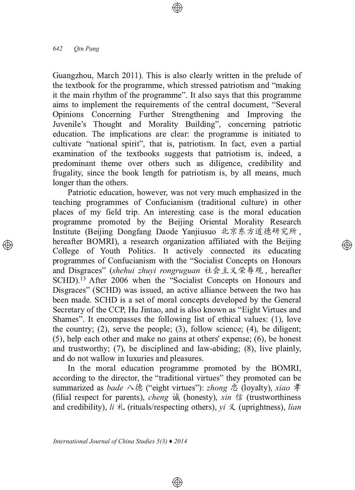Guangzhou, March 2011). This is also clearly written in the prelude of the textbook for the programme, which stressed patriotism and "making" it the main rhythm of the programme". It also says that this programme aims to implement the requirements of the central document, "Several Opinions Concerning Further Strengthening and Improving the Juvenile's Thought and Morality Building", concerning patriotic education. The implications are clear: the programme is initiated to cultivate "national spirit", that is, patriotism. In fact, even a partial examination of the textbooks suggests that patriotism is, indeed, a predominant theme over others such as diligence, credibility and frugality, since the book length for patriotism is, by all means, much longer than the others.

Patriotic education, however, was not very much emphasized in the teaching programmes of Confucianism (traditional culture) in other places of my field trip. An interesting case is the moral education programme promoted by the Beijing Oriental Morality Research Institute (Beijing Dongfang Daode Yanjiusuo 北京东方道德研究所, hereafter BOMRI), a research organization affiliated with the Beijing College of Youth Politics. It actively connected its educating programmes of Confucianism with the "Socialist Concepts on Honours" and Disgraces" (shehui zhuyi rongruguan 社会主义荣辱观, hereafter SCHD).<sup>13</sup> After 2006 when the "Socialist Concepts on Honours and Disgraces" (SCHD) was issued, an active alliance between the two has been made. SCHD is a set of moral concepts developed by the General Secretary of the CCP, Hu Jintao, and is also known as "Eight Virtues and Shames". It encompasses the following list of ethical values: (1), love the country;  $(2)$ , serve the people;  $(3)$ , follow science;  $(4)$ , be diligent;  $(5)$ , help each other and make no gains at others' expense;  $(6)$ , be honest and trustworthy;  $(7)$ , be disciplined and law-abiding;  $(8)$ , live plainly, and do not wallow in luxuries and pleasures.

</u>

In the moral education programme promoted by the BOMRI, according to the director, the "traditional virtues" they promoted can be summarized as *bade* 八德 ("eight virtues"): *zhong* 忠 (lovalty), *xiao* 孝 (filial respect for parents), *cheng*  $\dot{\mathbb{R}}$  (honesty), *xin*  $\dot{\mathbb{F}}$  (trustworthiness and credibility),  $li \nless$  (rituals/respecting others),  $vi \nless$  (uprightness), lian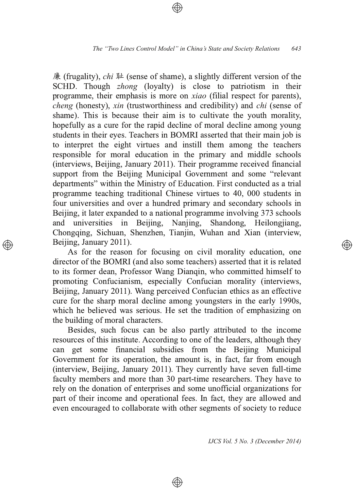廉 (frugality), *chi* 耻 (sense of shame), a slightly different version of the SCHD. Though *zhong* (loyalty) is close to patriotism in their programme, their emphasis is more on *xiao* (filial respect for parents), *cheng* (honesty), *xin* (trustworthiness and credibility) and *chi* (sense of shame). This is because their aim is to cultivate the vouth morality. hopefully as a cure for the rapid decline of moral decline among young students in their eyes. Teachers in BOMRI asserted that their main job is to interpret the eight virtues and instill them among the teachers responsible for moral education in the primary and middle schools (interviews, Beijing, January 2011). Their programme received financial support from the Beijing Municipal Government and some "relevant departments" within the Ministry of Education. First conducted as a trial programme teaching traditional Chinese virtues to 40, 000 students in four universities and over a hundred primary and secondary schools in Beijing, it later expanded to a national programme involving 373 schools universities in Beijing, Nanjing, Shandong, Heilongjiang, and Chongqing, Sichuan, Shenzhen, Tianjin, Wuhan and Xian (interview, Beijing, January 2011).

As for the reason for focusing on civil morality education, one director of the BOMRI (and also some teachers) asserted that it is related to its former dean, Professor Wang Dianqin, who committed himself to promoting Confucianism, especially Confucian morality (interviews, Beijing, January 2011). Wang perceived Confucian ethics as an effective cure for the sharp moral decline among youngsters in the early 1990s, which he believed was serious. He set the tradition of emphasizing on the building of moral characters.

Besides, such focus can be also partly attributed to the income resources of this institute. According to one of the leaders, although they can get some financial subsidies from the Beijing Municipal Government for its operation, the amount is, in fact, far from enough (interview, Beijing, January 2011). They currently have seven full-time faculty members and more than 30 part-time researchers. They have to rely on the donation of enterprises and some unofficial organizations for part of their income and operational fees. In fact, they are allowed and even encouraged to collaborate with other segments of society to reduce

⊕

IJCS Vol. 5 No. 3 (December 2014)

্⊕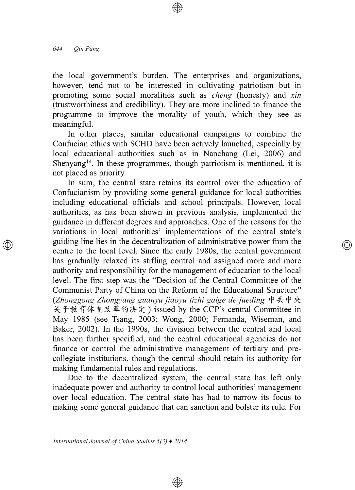the local government's burden. The enterprises and organizations, however, tend not to be interested in cultivating patriotism but in promoting some social moralities such as *cheng* (honesty) and xin (trustworthiness and credibility). They are more inclined to finance the programme to improve the morality of youth, which they see as meaningful.

In other places, similar educational campaigns to combine the Confucian ethics with SCHD have been actively launched, especially by local educational authorities such as in Nanchang (Lei, 2006) and Shenyang<sup>14</sup>. In these programmes, though patriotism is mentioned, it is not placed as priority.

In sum, the central state retains its control over the education of Confucianism by providing some general guidance for local authorities including educational officials and school principals. However, local authorities, as has been shown in previous analysis, implemented the guidance in different degrees and approaches. One of the reasons for the variations in local authorities' implementations of the central state's guiding line lies in the decentralization of administrative power from the centre to the local level. Since the early 1980s, the central government has gradually relaxed its stifling control and assigned more and more authority and responsibility for the management of education to the local level. The first step was the "Decision of the Central Committee of the Communist Party of China on the Reform of the Educational Structure" (Zhonggong Zhongyang guanyu jiaoyu tizhi gaige de jueding  $\psi \neq \psi$ 关于教育体制改革的决定) issued by the CCP's central Committee in May 1985 (see Tsang, 2003; Wong, 2000; Fernanda, Wiseman, and Baker, 2002). In the 1990s, the division between the central and local has been further specified, and the central educational agencies do not finance or control the administrative management of tertiary and precollegiate institutions, though the central should retain its authority for making fundamental rules and regulations.

Due to the decentralized system, the central state has left only inadequate power and authority to control local authorities' management over local education. The central state has had to narrow its focus to making some general guidance that can sanction and bolster its rule. For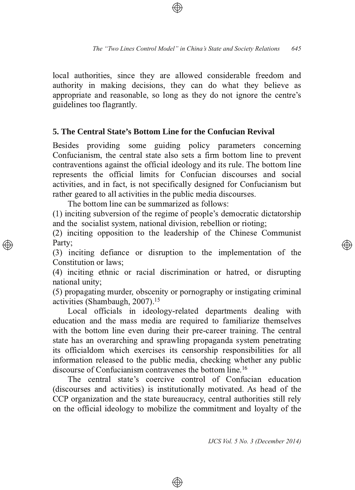local authorities, since they are allowed considerable freedom and authority in making decisions, they can do what they believe as appropriate and reasonable, so long as they do not ignore the centre's guidelines too flagrantly.

#### 5. The Central State's Bottom Line for the Confucian Revival

Besides providing some guiding policy parameters concerning Confucianism, the central state also sets a firm bottom line to prevent contraventions against the official ideology and its rule. The bottom line represents the official limits for Confucian discourses and social activities, and in fact, is not specifically designed for Confucianism but rather geared to all activities in the public media discourses.

The bottom line can be summarized as follows:

(1) inciting subversion of the regime of people's democratic dictatorship and the socialist system, national division, rebellion or rioting;

(2) inciting opposition to the leadership of the Chinese Communist Party:

(3) inciting defiance or disruption to the implementation of the Constitution or laws:

(4) inciting ethnic or racial discrimination or hatred, or disrupting national unity:

(5) propagating murder, obscenity or pornography or instigating criminal activities (Shambaugh, 2007).<sup>15</sup>

Local officials in ideology-related departments dealing with education and the mass media are required to familiarize themselves with the bottom line even during their pre-career training. The central state has an overarching and sprawling propaganda system penetrating its officialdom which exercises its censorship responsibilities for all information released to the public media, checking whether any public discourse of Confucianism contravenes the bottom line.<sup>16</sup>

The central state's coercive control of Confucian education (discourses and activities) is institutionally motivated. As head of the CCP organization and the state bureaucracy, central authorities still rely on the official ideology to mobilize the commitment and loyalty of the

⊕

IJCS Vol. 5 No. 3 (December 2014)

</u>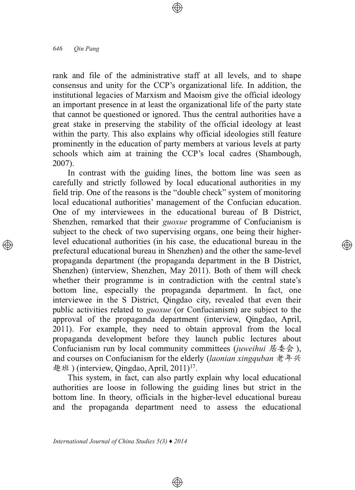rank and file of the administrative staff at all levels, and to shape consensus and unity for the CCP's organizational life. In addition, the institutional legacies of Marxism and Maoism give the official ideology an important presence in at least the organizational life of the party state that cannot be questioned or ignored. Thus the central authorities have a great stake in preserving the stability of the official ideology at least within the party. This also explains why official ideologies still feature prominently in the education of party members at various levels at party schools which aim at training the CCP's local cadres (Shambough,  $2007$ ).

In contrast with the guiding lines, the bottom line was seen as carefully and strictly followed by local educational authorities in my field trip. One of the reasons is the "double check" system of monitoring local educational authorities' management of the Confucian education. One of my interviewees in the educational bureau of B District, Shenzhen, remarked that their *guoxue* programme of Confucianism is subject to the check of two supervising organs, one being their higherlevel educational authorities (in his case, the educational bureau in the prefectural educational bureau in Shenzhen) and the other the same-level propaganda department (the propaganda department in the B District, Shenzhen) (interview, Shenzhen, May 2011). Both of them will check whether their programme is in contradiction with the central state's bottom line, especially the propaganda department. In fact, one interviewee in the S District, Qingdao city, revealed that even their public activities related to *guoxue* (or Confucianism) are subject to the approval of the propaganda department (interview, Oingdao, April, 2011). For example, they need to obtain approval from the local propaganda development before they launch public lectures about Confucianism run by local community committees (juweihui 居委会), and courses on Confucianism for the elderly (laonian xingquban  $\# \# \mathcal{R}$ 趣班) (interview, Qingdao, April, 2011)<sup>17</sup>.

</u>

This system, in fact, can also partly explain why local educational authorities are loose in following the guiding lines but strict in the bottom line. In theory, officials in the higher-level educational bureau and the propaganda department need to assess the educational

 $\circledcirc$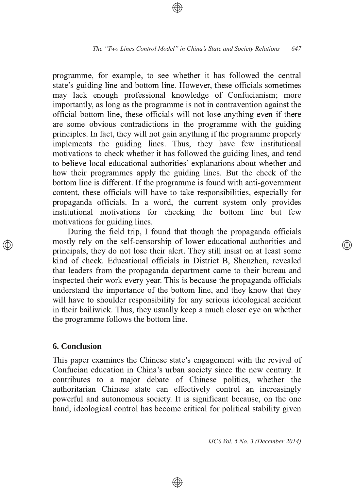programme, for example, to see whether it has followed the central state's guiding line and bottom line. However, these officials sometimes may lack enough professional knowledge of Confucianism; more importantly, as long as the programme is not in contravention against the official bottom line, these officials will not lose anything even if there are some obvious contradictions in the programme with the guiding principles. In fact, they will not gain anything if the programme properly implements the guiding lines. Thus, they have few institutional motivations to check whether it has followed the guiding lines, and tend to believe local educational authorities' explanations about whether and how their programmes apply the guiding lines. But the check of the bottom line is different. If the programme is found with anti-government content, these officials will have to take responsibilities, especially for propaganda officials. In a word, the current system only provides institutional motivations for checking the bottom line but few motivations for guiding lines.

During the field trip, I found that though the propaganda officials mostly rely on the self-censorship of lower educational authorities and principals, they do not lose their alert. They still insist on at least some kind of check. Educational officials in District B, Shenzhen, revealed that leaders from the propaganda department came to their bureau and inspected their work every year. This is because the propaganda officials understand the importance of the bottom line, and they know that they will have to shoulder responsibility for any serious ideological accident in their bailiwick. Thus, they usually keep a much closer eye on whether the programme follows the bottom line.

### **6. Conclusion**

This paper examines the Chinese state's engagement with the revival of Confucian education in China's urban society since the new century. It contributes to a major debate of Chinese politics, whether the authoritarian Chinese state can effectively control an increasingly powerful and autonomous society. It is significant because, on the one hand, ideological control has become critical for political stability given

⊕

IJCS Vol. 5 No. 3 (December 2014)

(A)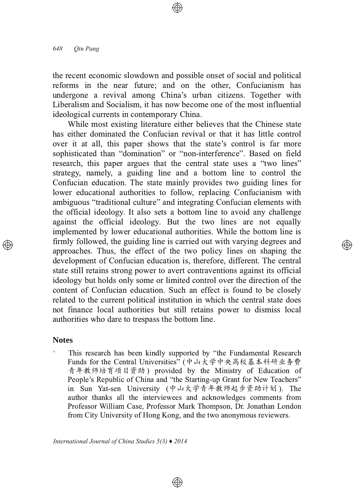the recent economic slowdown and possible onset of social and political reforms in the near future; and on the other, Confucianism has undergone a revival among China's urban citizens. Together with Liberalism and Socialism, it has now become one of the most influential ideological currents in contemporary China.

While most existing literature either believes that the Chinese state has either dominated the Confucian revival or that it has little control over it at all, this paper shows that the state's control is far more sophisticated than "domination" or "non-interference". Based on field research, this paper argues that the central state uses a "two lines" strategy, namely, a guiding line and a bottom line to control the Confucian education. The state mainly provides two guiding lines for lower educational authorities to follow, replacing Confucianism with ambiguous "traditional culture" and integrating Confucian elements with the official ideology. It also sets a bottom line to avoid any challenge against the official ideology. But the two lines are not equally implemented by lower educational authorities. While the bottom line is firmly followed, the guiding line is carried out with varying degrees and approaches. Thus, the effect of the two policy lines on shaping the development of Confucian education is, therefore, different. The central state still retains strong power to avert contraventions against its official ideology but holds only some or limited control over the direction of the content of Confucian education. Such an effect is found to be closely related to the current political institution in which the central state does not finance local authorities but still retains power to dismiss local authorities who dare to trespass the bottom line.

(A)

#### **Notes**

 $\ddot{}$ This research has been kindly supported by "the Fundamental Research" Funds for the Central Universities" (中山大学中央高校基本科研业务费 青年教师培育项目资助) provided by the Ministry of Education of People's Republic of China and "the Starting-up Grant for New Teachers" in Sun Yat-sen University (中山大学青年教师起步资助计划). The author thanks all the interviewees and acknowledges comments from Professor William Case, Professor Mark Thompson, Dr. Jonathan London from City University of Hong Kong, and the two anonymous reviewers.

 $\circledcirc$ 

International Journal of China Studies  $5(3)$   $\triangle$  2014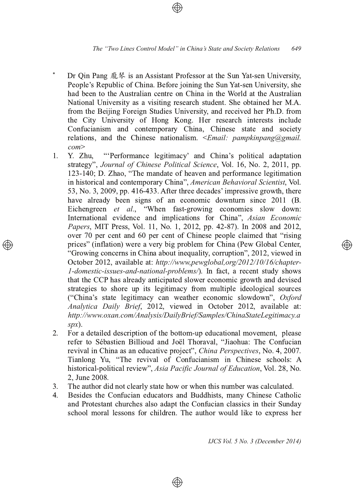- Dr Qin Pang 龐琴 is an Assistant Professor at the Sun Yat-sen University, People's Republic of China. Before joining the Sun Yat-sen University, she had been to the Australian centre on China in the World at the Australian National University as a visiting research student. She obtained her M.A. from the Beijing Foreign Studies University, and received her Ph.D. from the City University of Hong Kong. Her research interests include Confucianism and contemporary China, Chinese state and society relations, and the Chinese nationalism.  $\le$ Email: pampkinpang@gmail.  $\omega$
- Y. Zhu. "Performance legitimacy' and China's political adaptation  $1.$ strategy", Journal of Chinese Political Science, Vol. 16, No. 2, 2011, pp. 123-140; D. Zhao, "The mandate of heaven and performance legitimation in historical and contemporary China", American Behavioral Scientist, Vol. 53, No. 3, 2009, pp. 416-433. After three decades' impressive growth, there have already been signs of an economic downturn since 2011 (B. Eichengreen et al., "When fast-growing economies slow down: International evidence and implications for China", Asian Economic Papers, MIT Press, Vol. 11, No. 1, 2012, pp. 42-87). In 2008 and 2012, over 70 per cent and 60 per cent of Chinese people claimed that "rising prices" (inflation) were a very big problem for China (Pew Global Center, "Growing concerns in China about inequality, corruption", 2012, viewed in October 2012, available at: http://www.pewglobal.org/2012/10/16/chapter-1-domestic-issues-and-national-problems/). In fact, a recent study shows that the CCP has already anticipated slower economic growth and devised strategies to shore up its legitimacy from multiple ideological sources ("China's state legitimacy can weather economic slowdown", Oxford Analytica Daily Brief, 2012, viewed in October 2012, available at: http://www.oxan.com/Analysis/DailyBrief/Samples/ChinaStateLegitimacy.a  $spx$ ).
- $2.$ For a detailed description of the bottom-up educational movement, please refer to Sébastien Billioud and Joël Thoraval, "Jiaohua: The Confucian revival in China as an educative project", China Perspectives, No. 4, 2007. Tianlong Yu, "The revival of Confucianism in Chinese schools: A historical-political review", Asia Pacific Journal of Education, Vol. 28, No. 2. June 2008.
- The author did not clearly state how or when this number was calculated.  $3.$
- Besides the Confucian educators and Buddhists, many Chinese Catholic  $4.$ and Protestant churches also adapt the Confucian classics in their Sunday school moral lessons for children. The author would like to express her

⊕

IJCS Vol. 5 No. 3 (December 2014)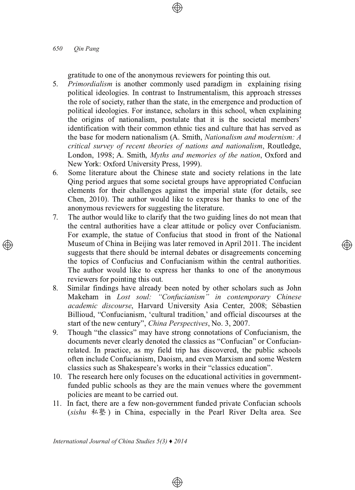#### 650 Oin Pang

gratitude to one of the anonymous reviewers for pointing this out.

- *Primordialism* is another commonly used paradigm in explaining rising  $5.$ political ideologies. In contrast to Instrumentalism, this approach stresses the role of society, rather than the state, in the emergence and production of political ideologies. For instance, scholars in this school, when explaining the origins of nationalism, postulate that it is the societal members' identification with their common ethnic ties and culture that has served as the base for modern nationalism (A. Smith, Nationalism and modernism: A critical survey of recent theories of nations and nationalism, Routledge, London, 1998; A. Smith, Myths and memories of the nation, Oxford and New York: Oxford University Press, 1999).
- $6.$ Some literature about the Chinese state and society relations in the late Oing period argues that some societal groups have appropriated Confucian elements for their challenges against the imperial state (for details, see Chen, 2010). The author would like to express her thanks to one of the anonymous reviewers for suggesting the literature.
- The author would like to clarify that the two guiding lines do not mean that 7. the central authorities have a clear attitude or policy over Confucianism. For example, the statue of Confucius that stood in front of the National Museum of China in Beijing was later removed in April 2011. The incident suggests that there should be internal debates or disagreements concerning the topics of Confucius and Confucianism within the central authorities. The author would like to express her thanks to one of the anonymous reviewers for pointing this out.
- Similar findings have already been noted by other scholars such as John 8. Makeham in Lost soul: "Confucianism" in contemporary Chinese academic discourse, Harvard University Asia Center, 2008; Sébastien Billioud, "Confucianism, 'cultural tradition,' and official discourses at the start of the new century", China Perspectives, No. 3, 2007.
- Though "the classics" may have strong connotations of Confucianism, the 9. documents never clearly denoted the classics as "Confucian" or Confucianrelated. In practice, as my field trip has discovered, the public schools often include Confucianism, Daoism, and even Marxism and some Western classics such as Shakespeare's works in their "classics education".
- 10. The research here only focuses on the educational activities in governmentfunded public schools as they are the main venues where the government policies are meant to be carried out.
- 11. In fact, there are a few non-government funded private Confucian schools (sishu 私塾) in China, especially in the Pearl River Delta area. See

⊕

International Journal of China Studies  $5(3)$   $\triangle$  2014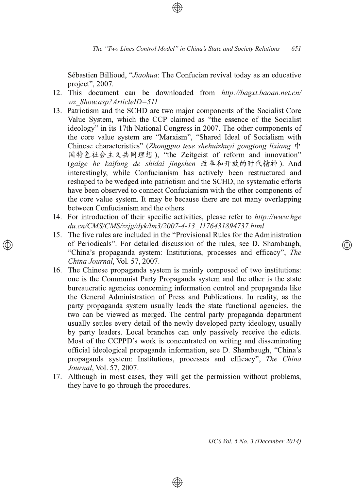Sébastien Billioud, "Jiaohua: The Confucian revival today as an educative project", 2007.

- 12. This document can be downloaded from http://bagxt.baoan.net.cn/ wz Show.asp?ArticleID=511
- 13. Patriotism and the SCHD are two major components of the Socialist Core Value System, which the CCP claimed as "the essence of the Socialist ideology" in its 17th National Congress in 2007. The other components of the core value system are "Marxism", "Shared Ideal of Socialism with Chinese characteristics" (Zhongguo tese shehuizhuyi gongtong lixiang  $\dot{\phi}$ 国特色社会主义共同理想), "the Zeitgeist of reform and innovation" (gaige he kaifang de shidai jingshen 改革和开放的时代精神). And interestingly, while Confucianism has actively been restructured and reshaped to be wedged into patriotism and the SCHD, no systematic efforts have been observed to connect Confucianism with the other components of the core value system. It may be because there are not many overlapping between Confucianism and the others.
- 14. For introduction of their specific activities, please refer to http://www.hge du.cn/CMS/CMS/zzjg/dyk/lm3/2007-4-13 1176431894737.html
- 15. The five rules are included in the "Provisional Rules for the Administration of Periodicals". For detailed discussion of the rules, see D. Shambaugh, "China's propaganda system: Institutions, processes and efficacy", The China Journal, Vol. 57, 2007.
- 16. The Chinese propaganda system is mainly composed of two institutions: one is the Communist Party Propaganda system and the other is the state bureaucratic agencies concerning information control and propaganda like the General Administration of Press and Publications. In reality, as the party propaganda system usually leads the state functional agencies, the two can be viewed as merged. The central party propaganda department usually settles every detail of the newly developed party ideology, usually by party leaders. Local branches can only passively receive the edicts. Most of the CCPPD's work is concentrated on writing and disseminating official ideological propaganda information, see D. Shambaugh, "China's propaganda system: Institutions, processes and efficacy", The China Journal, Vol. 57, 2007.
- 17. Although in most cases, they will get the permission without problems, they have to go through the procedures.

⊕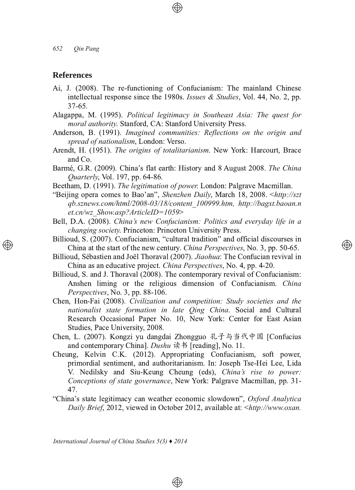#### **References**

- Ai, J. (2008). The re-functioning of Confucianism: The mainland Chinese intellectual response since the 1980s. Issues & Studies, Vol. 44, No. 2, pp.  $37-65$
- Alagappa, M. (1995). Political legitimacy in Southeast Asia: The quest for *moral authority*. Stanford, CA: Stanford University Press.
- Anderson, B. (1991). Imagined communities: Reflections on the origin and *spread of nationalism*, London: Verso.
- Arendt, H. (1951). The origins of totalitarianism. New York: Harcourt, Brace and Co.
- Barmé, G.R. (2009). China's flat earth: History and 8 August 2008. The China *Quarterly*, Vol. 197, pp. 64-86.
- Beetham, D. (1991). The legitimation of power. London: Palgrave Macmillan.
- "Beijing opera comes to Bao'an", Shenzhen Daily, March 18, 2008. <http://szt *qb.sznews.com/html/200803/18/content\_100999.htm, http://bagxt.baoan.n et.cn/wz\_Show.asp?ArticleID=1059*
- Bell, D.A. (2008). China's new Confucianism: Politics and everyday life in a *changing society*. Princeton: Princeton University Press.
- Billioud, S. (2007). Confucianism, "cultural tradition" and official discourses in China at the start of the new century. China Perspectives, No. 3, pp. 50-65.

- Billioud, Sébastien and Joël Thoraval (2007). Jiaohua: The Confucian revival in China as an educative project. *China Perspectives*, No. 4, pp. 4-20. Ι,
- Billioud, S. and J. Thoraval (2008). The contemporary revival of Confucianism: Anshen liming or the religious dimension of Confucianism. China Perspectives, No. 3, pp. 88-106.
- Chen, Hon-Fai (2008). Civilization and competition: Study societies and the *nationalist state formation in late Oing China*. Social and Cultural Research Occasional Paper No. 10, New York: Center for East Asian Studies, Pace University, 2008.
- Chen, L. (2007). Kongzi yu dangdai Zhongguo 孔子与当代中国 [Confucius and contemporary China]. *Dushu* 读书 [reading], No. 11.
- Cheung, Kelvin C.K. (2012). Appropriating Confucianism, soft power, primordial sentiment, and authoritarianism. In: Joseph Tse-Hei Lee, Lida V. Nedilsky and Siu-Keung Cheung (eds), China's rise to power: *Conceptions of state governance*, New York: Palgrave Macmillan, pp. 31-47.
- "China's state legitimacy can weather economic slowdown", Oxford Analytica Daily Brief, 2012, viewed in October 2012, available at: <http://www.oxan.

 $\circledcirc$ 

*International Journal of China Studies 5(3) ♦ 2014*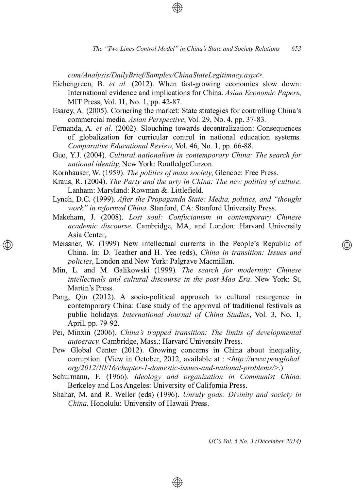*com/Analysis/DailyBrief/Samples/ChinaStateLegitimacy.aspx*

- Eichengreen, B. et al. (2012). When fast-growing economies slow down: International evidence and implications for China. Asian *Economic Papers*, MIT Press, Vol. 11, No. 1, pp. 42-87.
- Esarey, A. (2005). Cornering the market: State strategies for controlling China's commercial media. *Asian Perspective*, Vol. 29, No. 4, pp. 37-83.
- Fernanda, A. et al. (2002). Slouching towards decentralization: Consequences of globalization for curricular control in national education systems. *Comparative Educational Review, Vol. 46, No. 1, pp. 66-88.*
- Guo, Y.J. (2004). Cultural nationalism in contemporary China: The search for *national identity*, New York: RoutledgeCurzon.
- Kornhauser, W. (1959). The politics of mass society, Glencoe: Free Press.
- Kraus, R. (2004). The Party and the arty in China: The new politics of culture. Lanham: Maryland: Rowman &. Littlefield.
- Lynch, D.C. (1999). After the Propaganda State: Media, politics, and "thought *work" in reformed China.* Stanford, CA: Stanford University Press.
- Makeham, J. (2008). Lost soul: Confucianism in contemporary Chinese *academic discourse*. Cambridge, MA, and London: Harvard University Asia Center...
- Meissner, W. (1999) New intellectual currents in the People's Republic of China. In: D. Teather and H. Yee (eds), *China in transition: Issues and policies*, London and New York: Palgrave Macmillan.
- Min, L. and M. Galikowski (1999). The search for modernity: Chinese *intellectuals and cultural discourse in the post-Mao Era. New York: St,* Martin's Press.
- Pang, Qin (2012). A socio-political approach to cultural resurgence in contemporary China: Case study of the approval of traditional festivals as public holidays. *International Journal of China Studies*, Vol. 3, No. 1, April, pp. 79-92.
- Pei, Minxin (2006). China's trapped transition: The limits of developmental *autocracy*. Cambridge, Mass.: Harvard University Press.
- Pew Global Center (2012). Growing concerns in China about inequality, corruption. (View in October, 2012, available at : <http://www.pewglobal. *org*/2012/10/16/chapter-1-domestic-issues-and-national-problems/>.)
- Schurmann, F. (1966). Ideology and organization in Communist China. Berkeley and Los Angeles: University of California Press.
- Shahar, M. and R. Weller (eds) (1996). Unruly gods: Divinity and society in *China*. Honolulu: University of Hawaii Press.

⊕

*IJCS Vol. 5 No. 3 (December 2014)*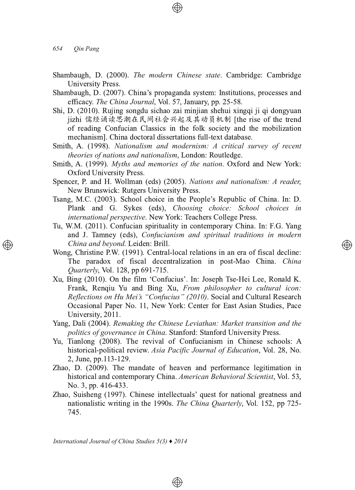*654 Qin Pang*

- Shambaugh, D. (2000). The modern Chinese state. Cambridge: Cambridge University Press.
- Shambaugh, D. (2007). China's propaganda system: Institutions, processes and efficacy. The China Journal, Vol. 57, January, pp. 25-58.
- Shi, D. (2010). Rujing songdu sichao zai minjian shehui xingqi ji qi dongyuan jizhi 儒经诵读思潮在民间社会兴起及其动员机制 [the rise of the trend of reading Confucian Classics in the folk society and the mobilization mechanism]. China doctoral dissertations full-text database.
- Smith, A. (1998). Nationalism and modernism: A critical survey of recent *theories of nations and nationalism*, London: Routledge.
- Smith, A. (1999). Myths and memories of the nation. Oxford and New York: Oxford University Press.
- Spencer, P. and H. Wollman (eds) (2005). Nations and nationalism: A reader, New Brunswick: Rutgers University Press.
- Tsang, M.C. (2003). School choice in the People's Republic of China. In: D. Plank and G. Sykes (eds), *Choosing choice: School choices in international perspective.* New York: Teachers College Press.
- Tu, W.M. (2011). Confucian spirituality in contemporary China. In: F.G. Yang and J. Tamney (eds), Confucianism and spiritual traditions in modern *China and beyond.* Leiden: Brill.

</u>

- Wong, Christine P.W. (1991). Central-local relations in an era of fiscal decline: The paradox of fiscal decentralization in post-Mao China. China *Quarterly*, Vol. 128, pp 691-715.
- Xu, Bing (2010). On the film 'Confucius'. In: Joseph Tse-Hei Lee, Ronald K. Frank, Renqiu Yu and Bing Xu, From *philosopher to cultural icon: Reflections on Hu Mei's "Confucius" (2010)*. Social and Cultural Research Occasional Paper No. 11, New York: Center for East Asian Studies, Pace University, 2011.
- Yang, Dali (2004). Remaking the Chinese Leviathan: Market transition and the *politics of governance in China*. Stanford: Stanford University Press.
- Yu, Tianlong (2008). The revival of Confucianism in Chinese schools: A historical-political review. Asia Pacific Journal of Education, Vol. 28, No. 2. June, pp.113-129.
- Zhao, D. (2009). The mandate of heaven and performance legitimation in historical and contemporary China. American Behavioral Scientist, Vol. 53, No. 3, pp. 416-433.
- Zhao, Suisheng (1997). Chinese intellectuals' quest for national greatness and nationalistic writing in the 1990s. The China Quarterly, Vol. 152, pp 725-745.

 $\bigoplus$ 

*International Journal of China Studies 5(3) ♦ 2014*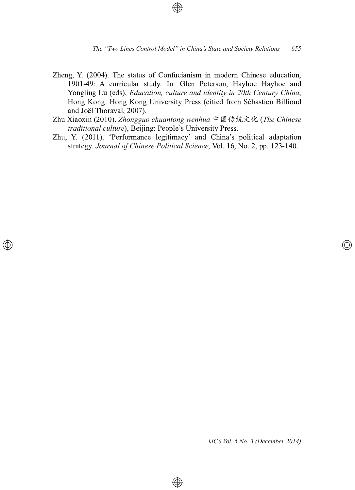- Zheng, Y. (2004). The status of Confucianism in modern Chinese education, 1901-49: A curricular study. In: Glen Peterson, Hayhoe Hayhoe and Yongling Lu (eds), Education, culture and identity in 20th Century China, Hong Kong: Hong Kong University Press (citied from Sébastien Billioud and Joël Thoraval, 2007).
- Zhu Xiaoxin (2010). Zhongguo chuantong wenhua 中国传统文化 (The Chinese traditional culture), Beijing: People's University Press.
- Zhu, Y. (2011). 'Performance legitimacy' and China's political adaptation strategy. Journal of Chinese Political Science, Vol. 16, No. 2, pp. 123-140.

⊕